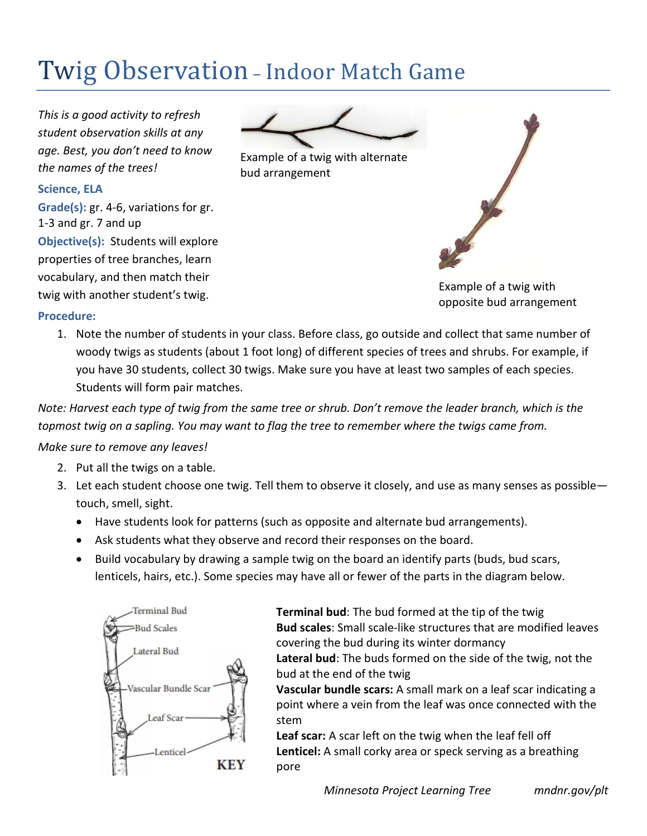# Twig Observation – Indoor Match Game

*This is a good activity to refresh student observation skills at any age. Best, you don't need to know the names of the trees!* 

#### **Science, ELA**

**Grade(s):** gr. 4-6, variations for gr. 1-3 and gr. 7 and up **Objective(s):** Students will explore properties of tree branches, learn vocabulary, and then match their twig with another student's twig.



Example of a twig with alternate bud arrangement

Example of a twig with opposite bud arrangement

#### **Procedure:**

1. Note the number of students in your class. Before class, go outside and collect that same number of woody twigs as students (about 1 foot long) of different species of trees and shrubs. For example, if you have 30 students, collect 30 twigs. Make sure you have at least two samples of each species. Students will form pair matches.

*Note: Harvest each type of twig from the same tree or shrub. Don't remove the leader branch, which is the topmost twig on a sapling. You may want to flag the tree to remember where the twigs came from.*

## *Make sure to remove any leaves!*

- 2. Put all the twigs on a table.
- 3. Let each student choose one twig. Tell them to observe it closely, and use as many senses as possible touch, smell, sight.
	- Have students look for patterns (such as opposite and alternate bud arrangements).
	- Ask students what they observe and record their responses on the board.
	- Build vocabulary by drawing a sample twig on the board an identify parts (buds, bud scars, lenticels, hairs, etc.). Some species may have all or fewer of the parts in the diagram below.



**Terminal bud**: The bud formed at the tip of the twig **Bud scales**: Small scale-like structures that are modified leaves covering the bud during its winter dormancy **Lateral bud**: The buds formed on the side of the twig, not the

bud at the end of the twig **Vascular bundle scars:** A small mark on a leaf scar indicating a point where a vein from the leaf was once connected with the stem

**Leaf scar:** A scar left on the twig when the leaf fell off **Lenticel:** A small corky area or speck serving as a breathing pore